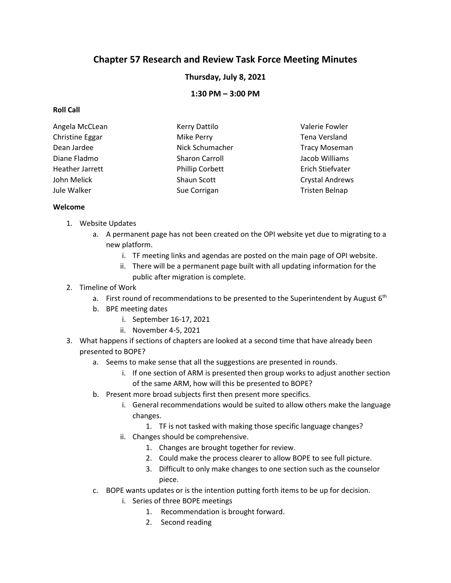# **Chapter 57 Research and Review Task Force Meeting Minutes**

**Thursday, July 8, 2021**

**1:30 PM – 3:00 PM**

## **Roll Call**

| Angela McCLean  | <b>Kerry Dattilo</b>   | Valerie Fowler         |
|-----------------|------------------------|------------------------|
| Christine Eggar | Mike Perry             | Tena Versland          |
| Dean Jardee     | Nick Schumacher        | <b>Tracy Moseman</b>   |
| Diane Fladmo    | Sharon Carroll         | Jacob Williams         |
| Heather Jarrett | <b>Phillip Corbett</b> | Erich Stiefvater       |
| John Melick     | Shaun Scott            | <b>Crystal Andrews</b> |
| Jule Walker     | Sue Corrigan           | Tristen Belnap         |

### **Welcome**

- 1. Website Updates
	- a. A permanent page has not been created on the OPI website yet due to migrating to a new platform.
		- i. TF meeting links and agendas are posted on the main page of OPI website.
		- ii. There will be a permanent page built with all updating information for the public after migration is complete.
- 2. Timeline of Work
	- a. First round of recommendations to be presented to the Superintendent by August  $6<sup>th</sup>$
	- b. BPE meeting dates
		- i. September 16-17, 2021
		- ii. November 4-5, 2021
- 3. What happens if sections of chapters are looked at a second time that have already been presented to BOPE?
	- a. Seems to make sense that all the suggestions are presented in rounds.
		- i. If one section of ARM is presented then group works to adjust another section of the same ARM, how will this be presented to BOPE?
	- b. Present more broad subjects first then present more specifics.
		- i. General recommendations would be suited to allow others make the language changes.
			- 1. TF is not tasked with making those specific language changes?
		- ii. Changes should be comprehensive.
			- 1. Changes are brought together for review.
			- 2. Could make the process clearer to allow BOPE to see full picture.
			- 3. Difficult to only make changes to one section such as the counselor piece.
	- c. BOPE wants updates or is the intention putting forth items to be up for decision.
		- i. Series of three BOPE meetings
			- 1. Recommendation is brought forward.
			- 2. Second reading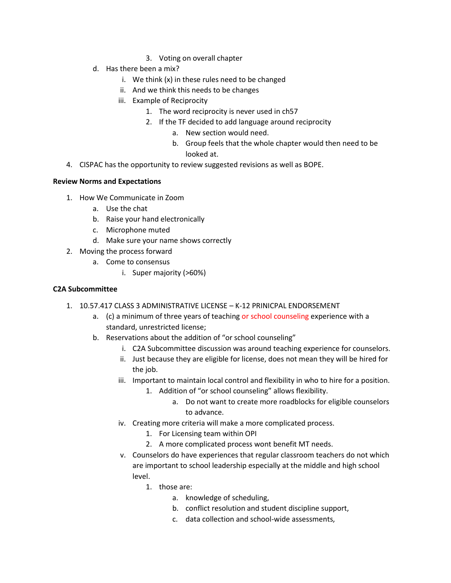- 3. Voting on overall chapter
- d. Has there been a mix?
	- i. We think (x) in these rules need to be changed
	- ii. And we think this needs to be changes
	- iii. Example of Reciprocity
		- 1. The word reciprocity is never used in ch57
		- 2. If the TF decided to add language around reciprocity
			- a. New section would need.
			- b. Group feels that the whole chapter would then need to be looked at.
- 4. CISPAC has the opportunity to review suggested revisions as well as BOPE.

#### **Review Norms and Expectations**

- 1. How We Communicate in Zoom
	- a. Use the chat
	- b. Raise your hand electronically
	- c. Microphone muted
	- d. Make sure your name shows correctly
- 2. Moving the process forward
	- a. Come to consensus
		- i. Super majority (>60%)

#### **C2A Subcommittee**

- 1. 10.57.417 CLASS 3 ADMINISTRATIVE LICENSE K-12 PRINICPAL ENDORSEMENT
	- a. (c) a minimum of three years of teaching or school counseling experience with a standard, unrestricted license;
	- b. Reservations about the addition of "or school counseling"
		- i. C2A Subcommittee discussion was around teaching experience for counselors.
		- ii. Just because they are eligible for license, does not mean they will be hired for the job.
		- iii. Important to maintain local control and flexibility in who to hire for a position.
			- 1. Addition of "or school counseling" allows flexibility.
				- a. Do not want to create more roadblocks for eligible counselors to advance.
		- iv. Creating more criteria will make a more complicated process.
			- 1. For Licensing team within OPI
			- 2. A more complicated process wont benefit MT needs.
		- v. Counselors do have experiences that regular classroom teachers do not which are important to school leadership especially at the middle and high school level.
			- 1. those are:
				- a. knowledge of scheduling,
				- b. conflict resolution and student discipline support,
				- c. data collection and school-wide assessments,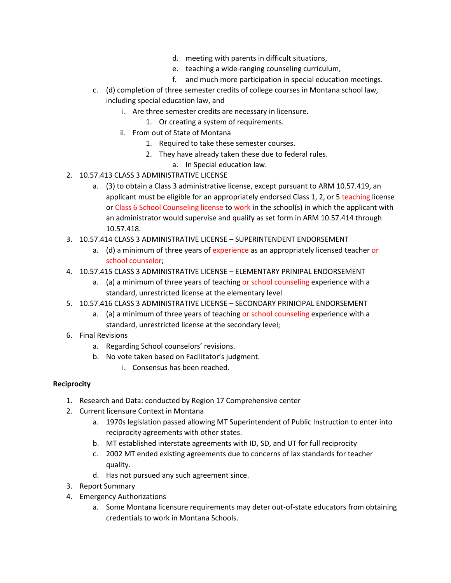- d. meeting with parents in difficult situations,
- e. teaching a wide-ranging counseling curriculum,
- f. and much more participation in special education meetings.
- c. (d) completion of three semester credits of college courses in Montana school law, including special education law, and
	- i. Are three semester credits are necessary in licensure.
		- 1. Or creating a system of requirements.
	- ii. From out of State of Montana
		- 1. Required to take these semester courses.
		- 2. They have already taken these due to federal rules.
			- a. In Special education law.
- 2. 10.57.413 CLASS 3 ADMINISTRATIVE LICENSE
	- a. (3) to obtain a Class 3 administrative license, except pursuant to ARM 10.57.419, an applicant must be eligible for an appropriately endorsed Class 1, 2, or 5 teaching license or Class 6 School Counseling license to work in the school(s) in which the applicant with an administrator would supervise and qualify as set form in ARM 10.57.414 through 10.57.418.
- 3. 10.57.414 CLASS 3 ADMINISTRATIVE LICENSE SUPERINTENDENT ENDORSEMENT
	- a. (d) a minimum of three years of experience as an appropriately licensed teacher or school counselor;
- 4. 10.57.415 CLASS 3 ADMINISTRATIVE LICENSE ELEMENTARY PRINIPAL ENDORSEMENT
	- a. (a) a minimum of three years of teaching or school counseling experience with a standard, unrestricted license at the elementary level
- 5. 10.57.416 CLASS 3 ADMINISTRATIVE LICENSE SECONDARY PRINICIPAL ENDORSEMENT
	- a. (a) a minimum of three years of teaching or school counseling experience with a standard, unrestricted license at the secondary level;
- 6. Final Revisions
	- a. Regarding School counselors' revisions.
	- b. No vote taken based on Facilitator's judgment.
		- i. Consensus has been reached.

#### **Reciprocity**

- 1. Research and Data: conducted by Region 17 Comprehensive center
- 2. Current licensure Context in Montana
	- a. 1970s legislation passed allowing MT Superintendent of Public Instruction to enter into reciprocity agreements with other states.
	- b. MT established interstate agreements with ID, SD, and UT for full reciprocity
	- c. 2002 MT ended existing agreements due to concerns of lax standards for teacher quality.
	- d. Has not pursued any such agreement since.
- 3. Report Summary
- 4. Emergency Authorizations
	- a. Some Montana licensure requirements may deter out-of-state educators from obtaining credentials to work in Montana Schools.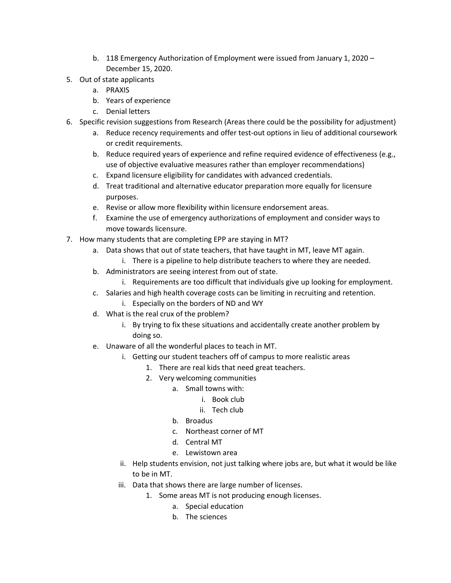- b. 118 Emergency Authorization of Employment were issued from January 1, 2020 December 15, 2020.
- 5. Out of state applicants
	- a. PRAXIS
	- b. Years of experience
	- c. Denial letters
- 6. Specific revision suggestions from Research (Areas there could be the possibility for adjustment)
	- a. Reduce recency requirements and offer test-out options in lieu of additional coursework or credit requirements.
	- b. Reduce required years of experience and refine required evidence of effectiveness (e.g., use of objective evaluative measures rather than employer recommendations)
	- c. Expand licensure eligibility for candidates with advanced credentials.
	- d. Treat traditional and alternative educator preparation more equally for licensure purposes.
	- e. Revise or allow more flexibility within licensure endorsement areas.
	- f. Examine the use of emergency authorizations of employment and consider ways to move towards licensure.
- 7. How many students that are completing EPP are staying in MT?
	- a. Data shows that out of state teachers, that have taught in MT, leave MT again.
		- i. There is a pipeline to help distribute teachers to where they are needed.
	- b. Administrators are seeing interest from out of state.
		- i. Requirements are too difficult that individuals give up looking for employment.
	- c. Salaries and high health coverage costs can be limiting in recruiting and retention.
		- i. Especially on the borders of ND and WY
	- d. What is the real crux of the problem?
		- i. By trying to fix these situations and accidentally create another problem by doing so.
	- e. Unaware of all the wonderful places to teach in MT.
		- i. Getting our student teachers off of campus to more realistic areas
			- 1. There are real kids that need great teachers.
			- 2. Very welcoming communities
				- a. Small towns with:
					- i. Book club
					- ii. Tech club
					- b. Broadus
					- c. Northeast corner of MT
					- d. Central MT
					- e. Lewistown area
		- ii. Help students envision, not just talking where jobs are, but what it would be like to be in MT.
		- iii. Data that shows there are large number of licenses.
			- 1. Some areas MT is not producing enough licenses.
				- a. Special education
				- b. The sciences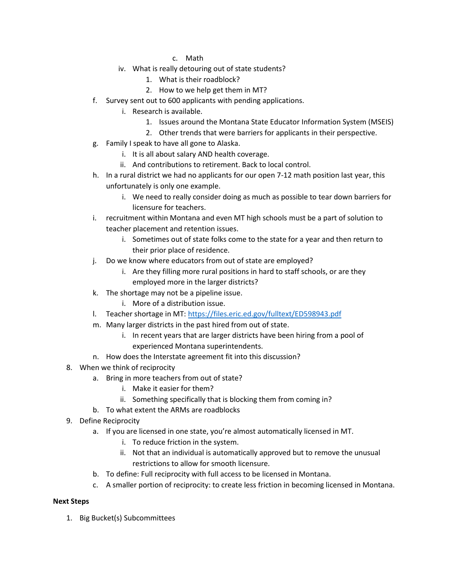- c. Math
- iv. What is really detouring out of state students?
	- 1. What is their roadblock?
	- 2. How to we help get them in MT?
- f. Survey sent out to 600 applicants with pending applications.
	- i. Research is available.
		- 1. Issues around the Montana State Educator Information System (MSEIS)
		- 2. Other trends that were barriers for applicants in their perspective.
- g. Family I speak to have all gone to Alaska.
	- i. It is all about salary AND health coverage.
	- ii. And contributions to retirement. Back to local control.
- h. In a rural district we had no applicants for our open 7-12 math position last year, this unfortunately is only one example.
	- i. We need to really consider doing as much as possible to tear down barriers for licensure for teachers.
- i. recruitment within Montana and even MT high schools must be a part of solution to teacher placement and retention issues.
	- i. Sometimes out of state folks come to the state for a year and then return to their prior place of residence.
- j. Do we know where educators from out of state are employed?
	- i. Are they filling more rural positions in hard to staff schools, or are they employed more in the larger districts?
- k. The shortage may not be a pipeline issue.
	- i. More of a distribution issue.
- l. Teacher shortage in MT:<https://files.eric.ed.gov/fulltext/ED598943.pdf>
- m. Many larger districts in the past hired from out of state.
	- i. In recent years that are larger districts have been hiring from a pool of experienced Montana superintendents.
- n. How does the Interstate agreement fit into this discussion?
- 8. When we think of reciprocity
	- a. Bring in more teachers from out of state?
		- i. Make it easier for them?
		- ii. Something specifically that is blocking them from coming in?
	- b. To what extent the ARMs are roadblocks
- 9. Define Reciprocity
	- a. If you are licensed in one state, you're almost automatically licensed in MT.
		- i. To reduce friction in the system.
		- ii. Not that an individual is automatically approved but to remove the unusual restrictions to allow for smooth licensure.
	- b. To define: Full reciprocity with full access to be licensed in Montana.
	- c. A smaller portion of reciprocity: to create less friction in becoming licensed in Montana.

## **Next Steps**

1. Big Bucket(s) Subcommittees